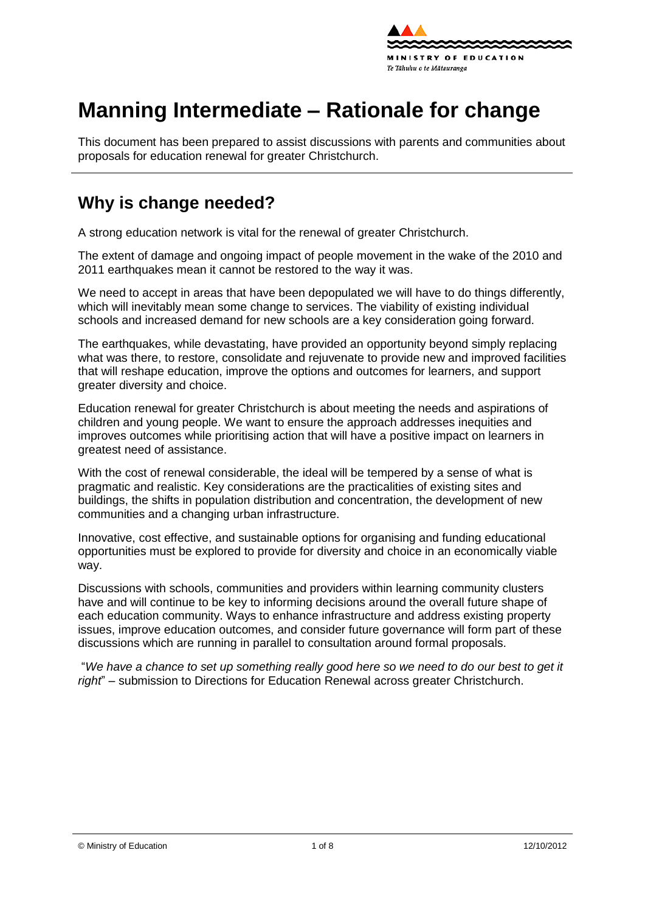

# **Manning Intermediate – Rationale for change**

This document has been prepared to assist discussions with parents and communities about proposals for education renewal for greater Christchurch.

### **Why is change needed?**

A strong education network is vital for the renewal of greater Christchurch.

The extent of damage and ongoing impact of people movement in the wake of the 2010 and 2011 earthquakes mean it cannot be restored to the way it was.

We need to accept in areas that have been depopulated we will have to do things differently, which will inevitably mean some change to services. The viability of existing individual schools and increased demand for new schools are a key consideration going forward.

The earthquakes, while devastating, have provided an opportunity beyond simply replacing what was there, to [restore,](http://shapingeducation.minedu.govt.nz/guiding-the-process-of-renewal/restore) [consolidate](http://shapingeducation.minedu.govt.nz/guiding-the-process-of-renewal/consolidate) and [rejuvenate](http://shapingeducation.minedu.govt.nz/guiding-the-process-of-renewal/rejuvenate) to provide new and improved facilities that will reshape education, improve the options and outcomes for learners, and support greater diversity and choice.

Education renewal for greater Christchurch is about meeting the needs and aspirations of children and young people. We want to ensure the approach addresses inequities and improves outcomes while prioritising action that will have a positive impact on learners in greatest need of assistance.

With the cost of renewal considerable, the ideal will be tempered by a sense of what is pragmatic and realistic. Key considerations are the practicalities of existing sites and buildings, the shifts in population distribution and concentration, the development of new communities and a changing urban infrastructure.

Innovative, cost effective, and sustainable options for organising and funding educational opportunities must be explored to provide for diversity and choice in an economically viable way.

Discussions with schools, communities and providers within learning community clusters have and will continue to be key to informing decisions around the overall future shape of each education community. Ways to enhance infrastructure and address existing property issues, improve education outcomes, and consider future governance will form part of these discussions which are running in parallel to consultation around formal proposals.

"*We have a chance to set up something really good here so we need to do our best to get it right*" – submission to Directions for Education Renewal across greater Christchurch.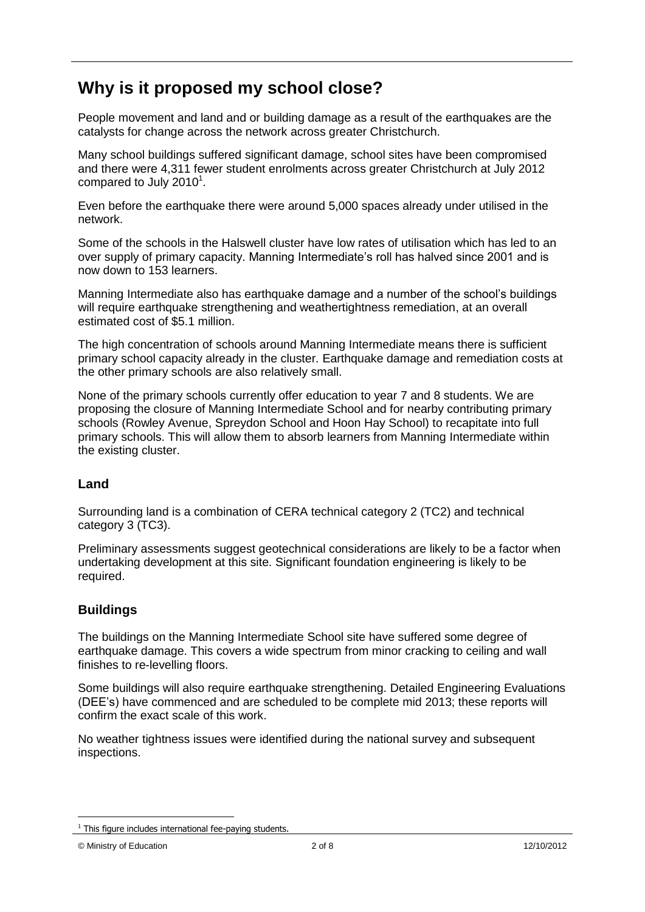### **Why is it proposed my school close?**

People movement and land and or building damage as a result of the earthquakes are the catalysts for change across the network across greater Christchurch.

Many school buildings suffered significant damage, school sites have been compromised and there were 4,311 fewer student enrolments across greater Christchurch at July 2012 compared to July 2010 $^1$ .

Even before the earthquake there were around 5,000 spaces already under utilised in the network.

Some of the schools in the Halswell cluster have low rates of utilisation which has led to an over supply of primary capacity. Manning Intermediate"s roll has halved since 2001 and is now down to 153 learners.

Manning Intermediate also has earthquake damage and a number of the school"s buildings will require earthquake strengthening and weathertightness remediation, at an overall estimated cost of \$5.1 million.

The high concentration of schools around Manning Intermediate means there is sufficient primary school capacity already in the cluster. Earthquake damage and remediation costs at the other primary schools are also relatively small.

None of the primary schools currently offer education to year 7 and 8 students. We are proposing the closure of Manning Intermediate School and for nearby contributing primary schools (Rowley Avenue, Spreydon School and Hoon Hay School) to recapitate into full primary schools. This will allow them to absorb learners from Manning Intermediate within the existing cluster.

#### **Land**

Surrounding land is a combination of CERA technical category 2 (TC2) and technical category 3 (TC3).

Preliminary assessments suggest geotechnical considerations are likely to be a factor when undertaking development at this site. Significant foundation engineering is likely to be required.

#### **Buildings**

The buildings on the Manning Intermediate School site have suffered some degree of earthquake damage. This covers a wide spectrum from minor cracking to ceiling and wall finishes to re-levelling floors.

Some buildings will also require earthquake strengthening. Detailed Engineering Evaluations (DEE"s) have commenced and are scheduled to be complete mid 2013; these reports will confirm the exact scale of this work.

No weather tightness issues were identified during the national survey and subsequent inspections.

1

 $1$  This figure includes international fee-paying students.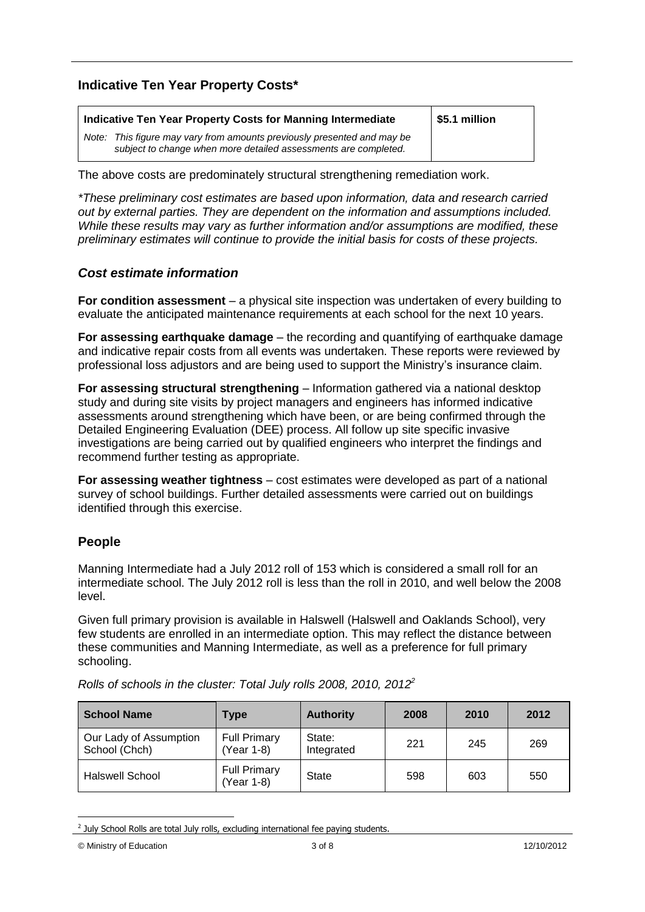#### **Indicative Ten Year Property Costs\***

| Indicative Ten Year Property Costs for Manning Intermediate                                                                                | \$5.1 million |
|--------------------------------------------------------------------------------------------------------------------------------------------|---------------|
| Note: This figure may vary from amounts previously presented and may be<br>subject to change when more detailed assessments are completed. |               |

The above costs are predominately structural strengthening remediation work.

*\*These preliminary cost estimates are based upon information, data and research carried out by external parties. They are dependent on the information and assumptions included. While these results may vary as further information and/or assumptions are modified, these preliminary estimates will continue to provide the initial basis for costs of these projects.*

#### *Cost estimate information*

**For condition assessment** – a physical site inspection was undertaken of every building to evaluate the anticipated maintenance requirements at each school for the next 10 years.

**For assessing earthquake damage** – the recording and quantifying of earthquake damage and indicative repair costs from all events was undertaken. These reports were reviewed by professional loss adjustors and are being used to support the Ministry"s insurance claim.

**For assessing structural strengthening** – Information gathered via a national desktop study and during site visits by project managers and engineers has informed indicative assessments around strengthening which have been, or are being confirmed through the Detailed Engineering Evaluation (DEE) process. All follow up site specific invasive investigations are being carried out by qualified engineers who interpret the findings and recommend further testing as appropriate.

**For assessing weather tightness** – cost estimates were developed as part of a national survey of school buildings. Further detailed assessments were carried out on buildings identified through this exercise.

#### **People**

Manning Intermediate had a July 2012 roll of 153 which is considered a small roll for an intermediate school. The July 2012 roll is less than the roll in 2010, and well below the 2008 level.

Given full primary provision is available in Halswell (Halswell and Oaklands School), very few students are enrolled in an intermediate option. This may reflect the distance between these communities and Manning Intermediate, as well as a preference for full primary schooling.

| <b>School Name</b>                      | Type                              | <b>Authority</b>     | 2008 | 2010 | 2012 |
|-----------------------------------------|-----------------------------------|----------------------|------|------|------|
| Our Lady of Assumption<br>School (Chch) | <b>Full Primary</b><br>Year 1-8)  | State:<br>Integrated | 221  | 245  | 269  |
| Halswell School                         | <b>Full Primary</b><br>(Year 1-8) | <b>State</b>         | 598  | 603  | 550  |

*Rolls of schools in the cluster: Total July rolls 2008, 2010, 2012<sup>2</sup>*

<sup>1</sup>  $2$  July School Rolls are total July rolls, excluding international fee paying students.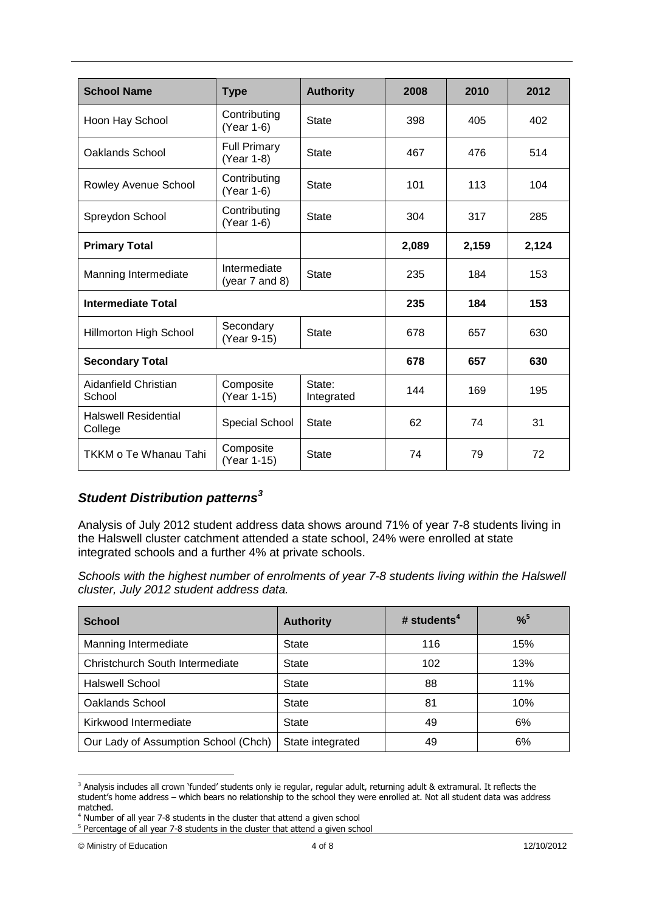| <b>School Name</b>                     | <b>Type</b>                         | <b>Authority</b>     | 2008  | 2010  | 2012  |
|----------------------------------------|-------------------------------------|----------------------|-------|-------|-------|
| Hoon Hay School                        | Contributing<br>(Year 1-6)          | <b>State</b>         | 398   | 405   | 402   |
| Oaklands School                        | <b>Full Primary</b><br>(Year 1-8)   | <b>State</b>         | 467   | 476   | 514   |
| Rowley Avenue School                   | Contributing<br>(Year 1-6)          | <b>State</b>         | 101   | 113   | 104   |
| Spreydon School                        | Contributing<br>(Year 1-6)          | <b>State</b>         | 304   | 317   | 285   |
| <b>Primary Total</b>                   |                                     |                      | 2,089 | 2,159 | 2,124 |
| Manning Intermediate                   | Intermediate<br>(year $7$ and $8$ ) | <b>State</b>         | 235   | 184   | 153   |
| <b>Intermediate Total</b>              |                                     | 235                  | 184   | 153   |       |
| Hillmorton High School                 | Secondary<br>(Year 9-15)            | <b>State</b>         | 678   | 657   | 630   |
| <b>Secondary Total</b>                 |                                     | 678                  | 657   | 630   |       |
| Aidanfield Christian<br>School         | Composite<br>(Year 1-15)            | State:<br>Integrated | 144   | 169   | 195   |
| <b>Halswell Residential</b><br>College | Special School                      | State                | 62    | 74    | 31    |
| TKKM o Te Whanau Tahi                  | Composite<br>(Year 1-15)            | <b>State</b>         | 74    | 79    | 72    |

### *Student Distribution patterns<sup>3</sup>*

Analysis of July 2012 student address data shows around 71% of year 7-8 students living in the Halswell cluster catchment attended a state school, 24% were enrolled at state integrated schools and a further 4% at private schools.

*Schools with the highest number of enrolments of year 7-8 students living within the Halswell cluster, July 2012 student address data.* 

| <b>School</b>                        | <b>Authority</b> | # students $4$ | $%^{5}$ |  |
|--------------------------------------|------------------|----------------|---------|--|
| Manning Intermediate                 | State            | 116            | 15%     |  |
| Christchurch South Intermediate      | <b>State</b>     | 102            | 13%     |  |
| Halswell School                      | State            | 88             | 11%     |  |
| Oaklands School                      | State            | 81             | 10%     |  |
| Kirkwood Intermediate                | <b>State</b>     | 49             | 6%      |  |
| Our Lady of Assumption School (Chch) | State integrated | 49             | 6%      |  |

<sup>1</sup> <sup>3</sup> Analysis includes all crown 'funded' students only ie regular, regular adult, returning adult & extramural. It reflects the student's home address – which bears no relationship to the school they were enrolled at. Not all student data was address matched.

<sup>4</sup> Number of all year 7-8 students in the cluster that attend a given school

<sup>&</sup>lt;sup>5</sup> Percentage of all year 7-8 students in the cluster that attend a given school

<sup>©</sup> Ministry of Education 4 of 8 12/10/2012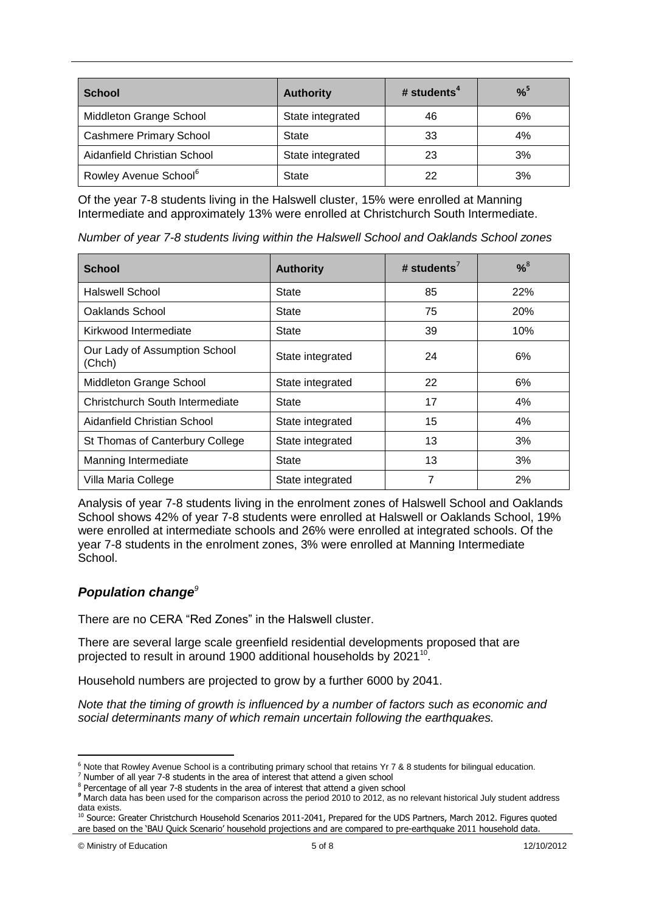| <b>School</b>                     | <b>Authority</b> | # students $4$ | $%^{5}$ |  |
|-----------------------------------|------------------|----------------|---------|--|
| Middleton Grange School           | State integrated | 46             | 6%      |  |
| <b>Cashmere Primary School</b>    | State            | 33             | 4%      |  |
| Aidanfield Christian School       | State integrated | 23             | 3%      |  |
| Rowley Avenue School <sup>6</sup> | State            | 22             | 3%      |  |

Of the year 7-8 students living in the Halswell cluster, 15% were enrolled at Manning Intermediate and approximately 13% were enrolled at Christchurch South Intermediate.

*Number of year 7-8 students living within the Halswell School and Oaklands School zones*

| <b>School</b>                           | <b>Authority</b> | # students <sup>7</sup> | $% ^{8}$ |  |
|-----------------------------------------|------------------|-------------------------|----------|--|
| Halswell School                         | <b>State</b>     | 85                      | 22%      |  |
| Oaklands School                         | <b>State</b>     | 75                      | 20%      |  |
| Kirkwood Intermediate                   | <b>State</b>     | 39                      | 10%      |  |
| Our Lady of Assumption School<br>(Chch) | State integrated | 24                      | 6%       |  |
| Middleton Grange School                 | State integrated | 22                      | 6%       |  |
| Christchurch South Intermediate         | State            | 17                      | 4%       |  |
| Aidanfield Christian School             | State integrated | 15                      | 4%       |  |
| St Thomas of Canterbury College         | State integrated | 13                      | 3%       |  |
| Manning Intermediate                    | State            | 13                      | 3%       |  |
| Villa Maria College                     | State integrated | 7                       | 2%       |  |

Analysis of year 7-8 students living in the enrolment zones of Halswell School and Oaklands School shows 42% of year 7-8 students were enrolled at Halswell or Oaklands School, 19% were enrolled at intermediate schools and 26% were enrolled at integrated schools. Of the year 7-8 students in the enrolment zones, 3% were enrolled at Manning Intermediate **School.** 

#### *Population change<sup>9</sup>*

There are no CERA "Red Zones" in the Halswell cluster.

There are several large scale greenfield residential developments proposed that are projected to result in around 1900 additional households by 2021 $^{10}$ .

Household numbers are projected to grow by a further 6000 by 2041.

*Note that the timing of growth is influenced by a number of factors such as economic and social determinants many of which remain uncertain following the earthquakes.*

1

 $6$  Note that Rowley Avenue School is a contributing primary school that retains Yr 7 & 8 students for bilingual education.

<sup>7</sup> Number of all year 7-8 students in the area of interest that attend a given school

<sup>&</sup>lt;sup>8</sup> Percentage of all year 7-8 students in the area of interest that attend a given school

*<sup>9</sup>* March data has been used for the comparison across the period 2010 to 2012, as no relevant historical July student address data exists.

<sup>&</sup>lt;sup>10</sup> Source: Greater Christchurch Household Scenarios 2011-2041, Prepared for the UDS Partners, March 2012. Figures quoted are based on the 'BAU Quick Scenario' household projections and are compared to pre-earthquake 2011 household data.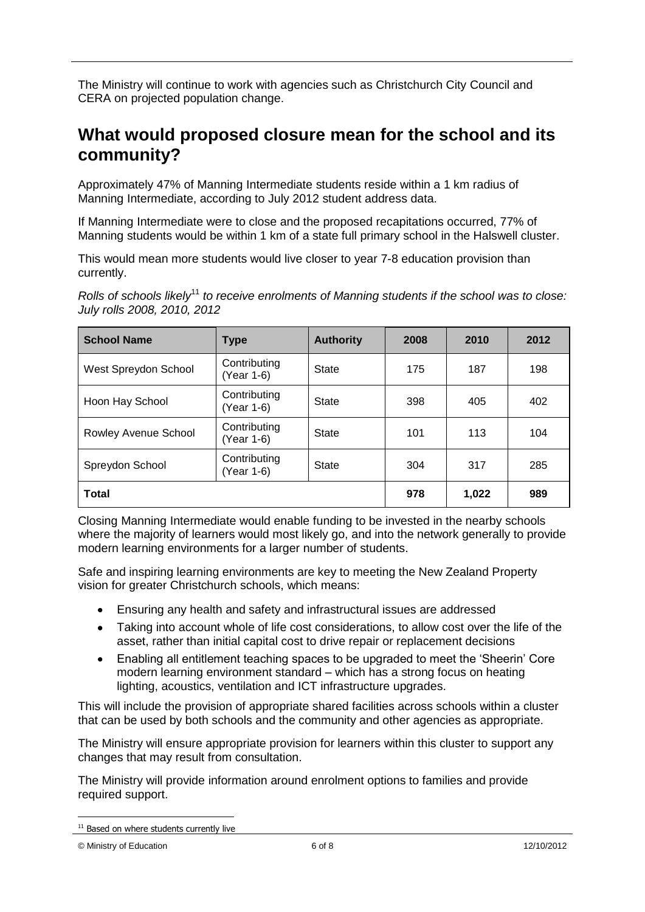The Ministry will continue to work with agencies such as Christchurch City Council and CERA on projected population change.

### **What would proposed closure mean for the school and its community?**

Approximately 47% of Manning Intermediate students reside within a 1 km radius of Manning Intermediate, according to July 2012 student address data.

If Manning Intermediate were to close and the proposed recapitations occurred, 77% of Manning students would be within 1 km of a state full primary school in the Halswell cluster.

This would mean more students would live closer to year 7-8 education provision than currently.

*Rolls of schools likely*<sup>11</sup> *to receive enrolments of Manning students if the school was to close: July rolls 2008, 2010, 2012*

| <b>School Name</b>   | <b>Type</b>                | <b>Authority</b> | 2008  | 2010 | 2012 |
|----------------------|----------------------------|------------------|-------|------|------|
| West Spreydon School | Contributing<br>(Year 1-6) | State            | 175   | 187  | 198  |
| Hoon Hay School      | Contributing<br>(Year 1-6) | <b>State</b>     | 398   | 405  | 402  |
| Rowley Avenue School | Contributing<br>(Year 1-6) | <b>State</b>     | 101   | 113  | 104  |
| Spreydon School      | Contributing<br>(Year 1-6) | State            | 304   | 317  | 285  |
| <b>Total</b>         |                            | 978              | 1,022 | 989  |      |

Closing Manning Intermediate would enable funding to be invested in the nearby schools where the majority of learners would most likely go, and into the network generally to provide modern learning environments for a larger number of students.

Safe and inspiring learning environments are key to meeting the New Zealand Property vision for greater Christchurch schools, which means:

- Ensuring any health and safety and infrastructural issues are addressed  $\bullet$
- Taking into account whole of life cost considerations, to allow cost over the life of the asset, rather than initial capital cost to drive repair or replacement decisions
- Enabling all entitlement teaching spaces to be upgraded to meet the "Sheerin" Core  $\bullet$ modern learning environment standard – which has a strong focus on heating lighting, acoustics, ventilation and ICT infrastructure upgrades.

This will include the provision of appropriate shared facilities across schools within a cluster that can be used by both schools and the community and other agencies as appropriate.

The Ministry will ensure appropriate provision for learners within this cluster to support any changes that may result from consultation.

The Ministry will provide information around enrolment options to families and provide required support.

<sup>1</sup> <sup>11</sup> Based on where students currently live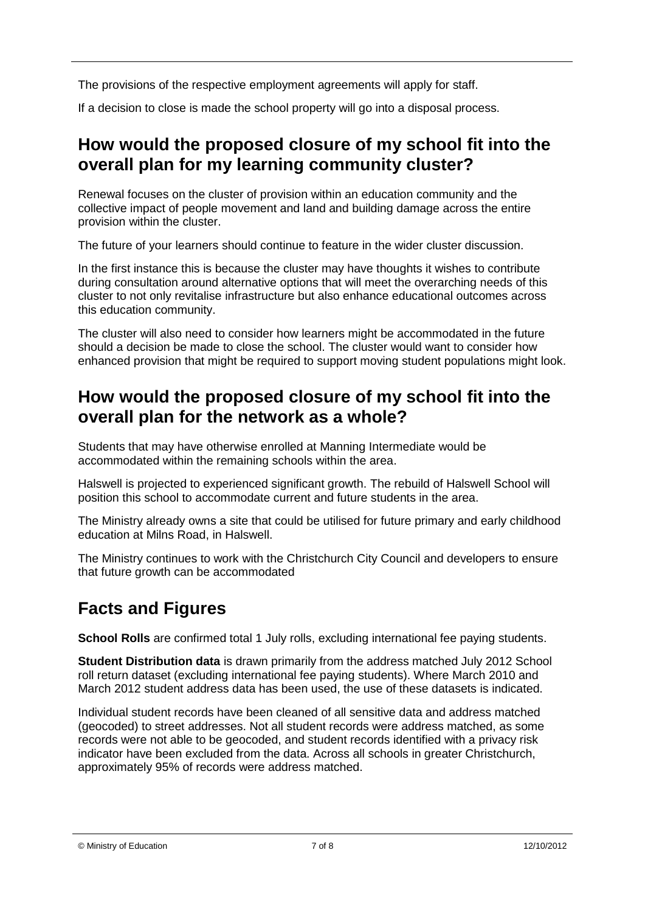The provisions of the respective employment agreements will apply for staff.

If a decision to close is made the school property will go into a disposal process.

### **How would the proposed closure of my school fit into the overall plan for my learning community cluster?**

Renewal focuses on the cluster of provision within an education community and the collective impact of people movement and land and building damage across the entire provision within the cluster.

The future of your learners should continue to feature in the wider cluster discussion.

In the first instance this is because the cluster may have thoughts it wishes to contribute during consultation around alternative options that will meet the overarching needs of this cluster to not only revitalise infrastructure but also enhance educational outcomes across this education community.

The cluster will also need to consider how learners might be accommodated in the future should a decision be made to close the school. The cluster would want to consider how enhanced provision that might be required to support moving student populations might look.

### **How would the proposed closure of my school fit into the overall plan for the network as a whole?**

Students that may have otherwise enrolled at Manning Intermediate would be accommodated within the remaining schools within the area.

Halswell is projected to experienced significant growth. The rebuild of Halswell School will position this school to accommodate current and future students in the area.

The Ministry already owns a site that could be utilised for future primary and early childhood education at Milns Road, in Halswell.

The Ministry continues to work with the Christchurch City Council and developers to ensure that future growth can be accommodated

## **Facts and Figures**

**School Rolls** are confirmed total 1 July rolls, excluding international fee paying students.

**Student Distribution data** is drawn primarily from the address matched July 2012 School roll return dataset (excluding international fee paying students). Where March 2010 and March 2012 student address data has been used, the use of these datasets is indicated.

Individual student records have been cleaned of all sensitive data and address matched (geocoded) to street addresses. Not all student records were address matched, as some records were not able to be geocoded, and student records identified with a privacy risk indicator have been excluded from the data. Across all schools in greater Christchurch, approximately 95% of records were address matched.

<sup>©</sup> Ministry of Education 7 of 8 12/10/2012